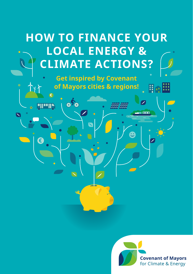# **HOW TO FINANCE YOUR LOCAL ENERGY & CLIMATE ACTIONS?**

**Get inspired by Covenant of Mayors cities & regions!**

**€**

 $\blacksquare$ 

**€**

TIR

 $\overrightarrow{or}$ 



Ho<sup>m</sup>

**COLO**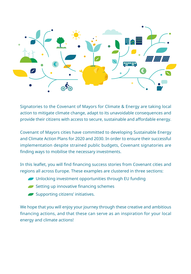

Signatories to the Covenant of Mayors for Climate & Energy are taking local action to mitigate climate change, adapt to its unavoidable consequences and provide their citizens with access to secure, sustainable and affordable energy.

Covenant of Mayors cities have committed to developing Sustainable Energy and Climate Action Plans for 2020 and 2030. In order to ensure their successful implementation despite strained public budgets, Covenant signatories are finding ways to mobilise the necessary investments.

In this leaflet, you will find financing success stories from Covenant cities and regions all across Europe. These examples are clustered in three sections:

- Unlocking investment opportunities through EU funding
- Setting up innovative financing schemes
- Supporting citizens' initiatives.

We hope that you will enjoy your journey through these creative and ambitious financing actions, and that these can serve as an inspiration for your local energy and climate actions!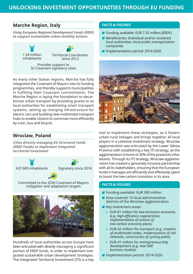## **Marche Region, Italy**

*Using European Regional Development Funds (ERDF) to support sustainable urban mobility actions* 

> 1.54 million inhabitants Territorial Coordinator since 2012 Provides support to

32 Covenant signatory cities

As many other Italian regions, Marche has fully integrated the Covenant of Mayors into its funding programmes, and thereby supports municipalities in fulfilling their Covenant commitments. The Marche Region is laying the foundation to decarbonise urban transport by providing grants to its local authorities for establishing smart transport systems, setting up charging infrastructure for electric cars and building new multimodal transport hubs to enable citizens to commute more efficiently by train, bus and bicycle.

# **Wroclaw, Poland**

*Cities directly managing EU Structural Funds (ERDF Funds) to implement integrated territorial investment* 

637,683 inhabitants





Committed to the 2030 Covenant of Mayors mitigation and adaptation targets



Hundreds of local authorities across Europe have been entrusted with directly managing a significant portion of ERDF funds, in order to implement integrated sustainable urban development strategies. The Integrated Territorial Investment (ITI) is a key

### **FACTS & FIGURES**

- **Funding available: EUR 7.35 million (ERDF)**
- Beneficiaries: Individual and/or clustered local authorities, local public transportation companies
- Implementation period: 2014-2020



tool to implement these strategies, as it fosters urban-rural linkages and brings together all local players in a cohesive investment strategy. Wroclaw agglomeration was entrusted by the Lower Silesia Province with establishing a key ITI strategy, as the agglomeration is home to 30% of the province's inhabitants. Through its ITI strategy, Wroclaw agglomeration has created a genuinely inclusive partnership with all its stakeholders, ensuring that the European funds it manages are efficiently and effectively spent to boost the low-carbon transition in its area.

### **FACTS & FIGURES**

- **Funding available: EUR 300 million**
- Area covered: 15 local administrative districts of the Wroclaw agglomeration
- **Key investment areas:** 
	- EUR 81 million for low-emission economy *(e.g. high-efficiency cogeneration, implementation of actions of low-carbon economy plans)*
	- EUR 42 million for transport *(e.g. creation of multimodal nodes, modernisation of rail networks, construction of cycling paths)*
	- **EUR 41 million for entrepreneurship** development *(e.g. new SME business models)*
- Implementation period: 2014-2020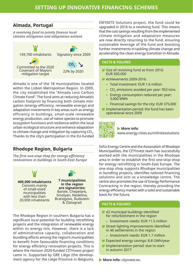# **Almada, Portugal**

*A revolving fund to jointly finance local climate mitigation and adaptation actions* 



Almada is one of the 18 municipalities located within the Lisbon Metropolitan Region. In 2009, the city established the "Almada Less Carbon Climate Fund". The fund aims at reducing Almada's carbon footprint by financing both climate mitigation (energy efficiency, renewable energy) and adaptation investments in key areas such as energy efficiency in buildings, small-scale renewable energy production, use of native species to promote ecosystem functions and resilience within the local urban ecological structure and enhance adaptation to climate change and mitigation by capturing CO $_{\textrm{\tiny{2}}}$ . Thanks to the city's participation in the EU-funded

# **Rhodope Region, Bulgaria**

*The first one-stop shop for energy efficiency renovations in buildings in South-East Europe* 



The Rhodope Region in southern Bulgaria has a significant local potential for building retrofitting projects and the integration of renewable energy within its energy mix. However, there is a lack of administrative capacity, collaboration and bundling efforts among the region's municipalities to benefit from favourable financing conditions for energy efficiency renovation projects. This is where the Horizon 2020-funded CITYnvest project came in. Supported by GRE Liège (the development agency for the Liège Province in Belgium), INFINITE Solutions project, the fund could be upgraded in 2016 to a revolving fund. This means that the cost savings resulting from the implemented climate mitigation and adaptation measures are now directly returning to the fund, ensuring sustainable leverage of the fund and boosting further investments in tackling climate change and accelerating the clean energy transition in Almada.

### **FACTS & FIGURES**

- Size of revolving fund as from 2016: EUR 500,000
- Achievements 2009-2016:
	- Total investment: EUR 1.6 million
	- $\mathsf{CO}_2$  emissions avoided per year: 953 tons
	- Energy consumption reduced per year: 3,000 MWh
	- **Financial savings for the city: EUR 375,000**
- **Implementation period: the fund has been** operational since 2009

# ŦП

#### **More info:**

www.energy-cities.eu/infinitesolutions

Sofia Energy Centre and the Association of Rhodope Municipalities, the CITYnvest team has successfully worked with the municipalities in the Rhodope area in order to establish the first one-stop shop for energy retrofitting in South-East Europe. The one-stop shop supports Rhodope municipalities in bundling projects, identifies tailored financing solutions and acts as a knowledge centre. The centre also promotes the use of Energy Performance Contracting in the region, thereby providing the energy efficiency market with a solid and sustainable basis for the future.

### **FACTS & FIGURES**

- **42 municipal buildings identified** for refurbishment in the region
	- **Investment needs: FUR 11.5 million**
- Street lighting improvements identified in 46 settlements in the region
	- **Investment needs: EUR 1.7 million**
- **Expected energy savings: 8.8 GWh/year**
- **Implementation period: due to start** in autumn 2017

**More info:** citynvest.eu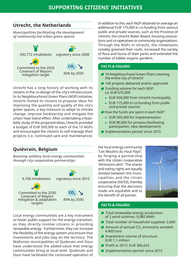## **Utrecht, the Netherlands**

*Municipalities facilitating the development of community-led urban green spaces* 



Utrecht has a long history of working with its citizens in the co-design of the city's infrastructure. In its Neighbourhood Green Plans (NGP) initiative, Utrecht invited its citizens to propose ideas for improving the quantity and quality of the city's green spaces, a key measure to adapt to climate change, improve biodiversity and mitigate the urban heat island effect. After undertaking a feasibility study of the proposed ideas, Utrecht provided a budget of EUR 500,000 to each of the 10 NGPs and encouraged the citizens to self-manage their projects (i.e. continued care and maintenance).

# **Quiévrain, Belgium**

### *Boosting solidary local energy communities through city-cooperative partnerships*



Local energy communities are a key instrument to foster public support for the energy transition, as they directly involve citizens in providing renewable energy. Furthermore, they can increase the flexibility of the energy system and ensure that investments and jobs stay on the territory. The Wallonian municipalities of Quiévrain and Dour have understood the added-value that energy communities bring at local level. Quiévrain and Dour have facilitated the continued operation of In addition to this, each NGP obtained on average an additional EUR 175,000 in co-funding from various public and private sources, such as the Province of Utrecht, the Utrecht Water Board, housing associations and co-operatives or community organisations. Through the NGPs in Utrecht, the inhabitants notably greened their roofs, increased the variety of flora and fauna of their parks and extended the number of edible organic gardens.

### **FACTS & FIGURES**

- **10 Neighbourhood Green Plans covering** the entire city of Utrecht
- **140 projects delivered and/or approved**
- Funding volume for each NGP: ca. EUR 675,000
	- **EUR 500,000 from Utrecht municipality**
	- **EUR 175,000 in co-funding from public** and private sources
- How the funds are spent in each NGP:
	- EUR 595,000 for implementation
	- EUR 80,000 for process (facilitating participation, idea development)
- **Implementation period: since 2010**

the local energy community "Les Moulins du Haut Pays", by forging a partnership with the citizen cooperative "émissions zéro". The shares and voting rights are equally divided between the municipalities and the citizen cooperative (50/50), thereby ensuring that the decisions made are equitable and to the benefit of all parties.



### **FACTS & FIGURES**

- **Total renewable energy production** of 2 wind turbines: 9,980 MWh
- Total number of household supplied: 2,800
- Amount of annual CO<sub>2</sub> emissions avoided: 4,400 tons
- Investment volume of structure: EUR 1.1 million
- Profit in 2015: EUR 366,653
- Implementation period: since 2015